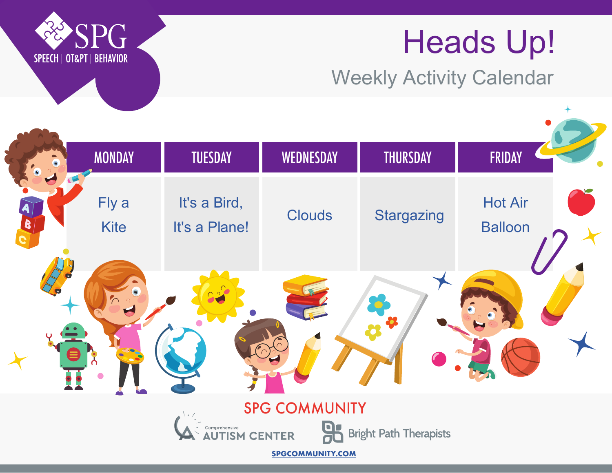# Heads Up!

Weekly Activity Calendar





**SPGCOMMUNITY.COM**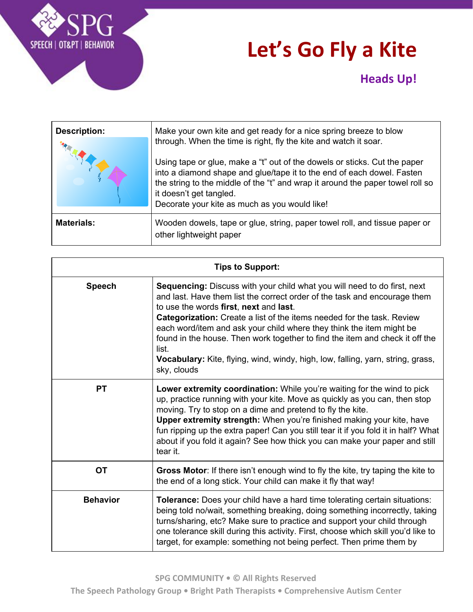

# **Let's Go Fly a Kite**

### **Heads Up!**

| <b>Description:</b> | Make your own kite and get ready for a nice spring breeze to blow<br>through. When the time is right, fly the kite and watch it soar.<br>Using tape or glue, make a "t" out of the dowels or sticks. Cut the paper<br>into a diamond shape and glue/tape it to the end of each dowel. Fasten<br>the string to the middle of the "t" and wrap it around the paper towel roll so<br>it doesn't get tangled.<br>Decorate your kite as much as you would like! |
|---------------------|------------------------------------------------------------------------------------------------------------------------------------------------------------------------------------------------------------------------------------------------------------------------------------------------------------------------------------------------------------------------------------------------------------------------------------------------------------|
| <b>Materials:</b>   | Wooden dowels, tape or glue, string, paper towel roll, and tissue paper or<br>other lightweight paper                                                                                                                                                                                                                                                                                                                                                      |

| <b>Tips to Support:</b> |                                                                                                                                                                                                                                                                                                                                                                                                                                                                                                                                                     |
|-------------------------|-----------------------------------------------------------------------------------------------------------------------------------------------------------------------------------------------------------------------------------------------------------------------------------------------------------------------------------------------------------------------------------------------------------------------------------------------------------------------------------------------------------------------------------------------------|
| <b>Speech</b>           | Sequencing: Discuss with your child what you will need to do first, next<br>and last. Have them list the correct order of the task and encourage them<br>to use the words first, next and last.<br><b>Categorization:</b> Create a list of the items needed for the task. Review<br>each word/item and ask your child where they think the item might be<br>found in the house. Then work together to find the item and check it off the<br>list.<br>Vocabulary: Kite, flying, wind, windy, high, low, falling, yarn, string, grass,<br>sky, clouds |
| <b>PT</b>               | Lower extremity coordination: While you're waiting for the wind to pick<br>up, practice running with your kite. Move as quickly as you can, then stop<br>moving. Try to stop on a dime and pretend to fly the kite.<br>Upper extremity strength: When you're finished making your kite, have<br>fun ripping up the extra paper! Can you still tear it if you fold it in half? What<br>about if you fold it again? See how thick you can make your paper and still<br>tear it.                                                                       |
| <b>OT</b>               | Gross Motor: If there isn't enough wind to fly the kite, try taping the kite to<br>the end of a long stick. Your child can make it fly that way!                                                                                                                                                                                                                                                                                                                                                                                                    |
| <b>Behavior</b>         | <b>Tolerance:</b> Does your child have a hard time tolerating certain situations:<br>being told no/wait, something breaking, doing something incorrectly, taking<br>turns/sharing, etc? Make sure to practice and support your child through<br>one tolerance skill during this activity. First, choose which skill you'd like to<br>target, for example: something not being perfect. Then prime them by                                                                                                                                           |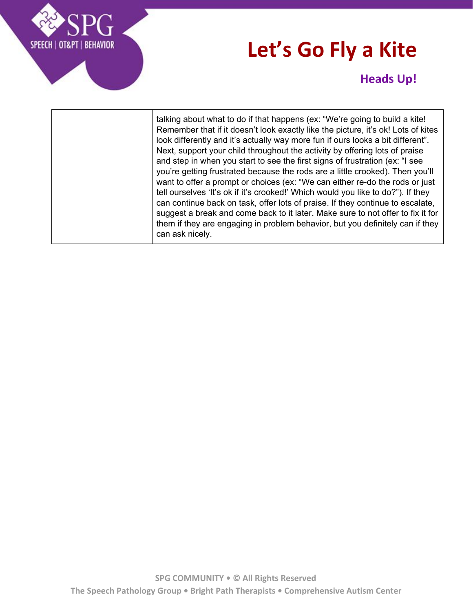# **Let's Go Fly a Kite**



#### **Heads Up!**

talking about what to do if that happens (ex: "We're going to build a kite! Remember that if it doesn't look exactly like the picture, it's ok! Lots of kites look differently and it's actually way more fun if ours looks a bit different". Next, support your child throughout the activity by offering lots of praise and step in when you start to see the first signs of frustration (ex: "I see you're getting frustrated because the rods are a little crooked). Then you'll want to offer a prompt or choices (ex: "We can either re-do the rods or just tell ourselves 'It's ok if it's crooked!' Which would you like to do?"). If they can continue back on task, offer lots of praise. If they continue to escalate, suggest a break and come back to it later. Make sure to not offer to fix it for them if they are engaging in problem behavior, but you definitely can if they can ask nicely.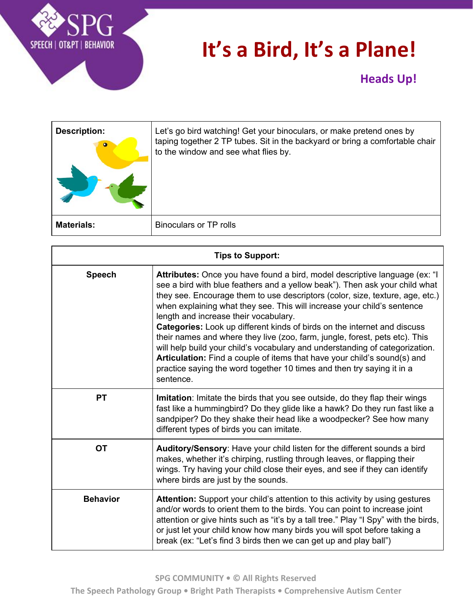

# **It's a Bird, It's a Plane!**

| <b>Description:</b><br>$\bullet$ | Let's go bird watching! Get your binoculars, or make pretend ones by<br>taping together 2 TP tubes. Sit in the backyard or bring a comfortable chair<br>to the window and see what flies by. |
|----------------------------------|----------------------------------------------------------------------------------------------------------------------------------------------------------------------------------------------|
| <b>Materials:</b>                | <b>Binoculars or TP rolls</b>                                                                                                                                                                |

| <b>Tips to Support:</b> |                                                                                                                                                                                                                                                                                                                                                                                                                                                                                                                                                                                                                                                                                                                                                                              |
|-------------------------|------------------------------------------------------------------------------------------------------------------------------------------------------------------------------------------------------------------------------------------------------------------------------------------------------------------------------------------------------------------------------------------------------------------------------------------------------------------------------------------------------------------------------------------------------------------------------------------------------------------------------------------------------------------------------------------------------------------------------------------------------------------------------|
| <b>Speech</b>           | Attributes: Once you have found a bird, model descriptive language (ex: "I<br>see a bird with blue feathers and a yellow beak"). Then ask your child what<br>they see. Encourage them to use descriptors (color, size, texture, age, etc.)<br>when explaining what they see. This will increase your child's sentence<br>length and increase their vocabulary.<br>Categories: Look up different kinds of birds on the internet and discuss<br>their names and where they live (zoo, farm, jungle, forest, pets etc). This<br>will help build your child's vocabulary and understanding of categorization.<br>Articulation: Find a couple of items that have your child's sound(s) and<br>practice saying the word together 10 times and then try saying it in a<br>sentence. |
| <b>PT</b>               | <b>Imitation:</b> Imitate the birds that you see outside, do they flap their wings<br>fast like a hummingbird? Do they glide like a hawk? Do they run fast like a<br>sandpiper? Do they shake their head like a woodpecker? See how many<br>different types of birds you can imitate.                                                                                                                                                                                                                                                                                                                                                                                                                                                                                        |
| <b>OT</b>               | Auditory/Sensory: Have your child listen for the different sounds a bird<br>makes, whether it's chirping, rustling through leaves, or flapping their<br>wings. Try having your child close their eyes, and see if they can identify<br>where birds are just by the sounds.                                                                                                                                                                                                                                                                                                                                                                                                                                                                                                   |
| <b>Behavior</b>         | Attention: Support your child's attention to this activity by using gestures<br>and/or words to orient them to the birds. You can point to increase joint<br>attention or give hints such as "it's by a tall tree." Play "I Spy" with the birds,<br>or just let your child know how many birds you will spot before taking a<br>break (ex: "Let's find 3 birds then we can get up and play ball")                                                                                                                                                                                                                                                                                                                                                                            |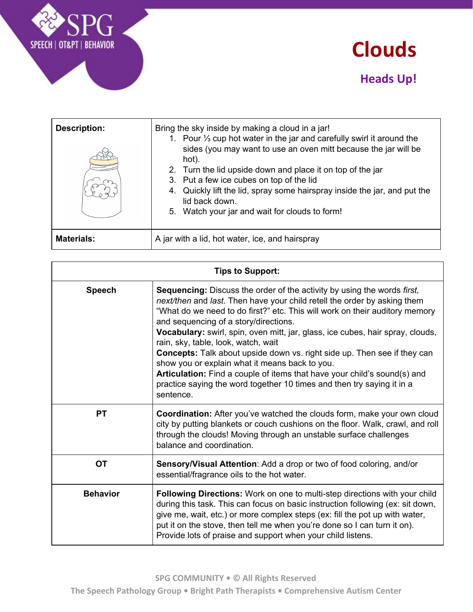



| <b>Description:</b> | Bring the sky inside by making a cloud in a jar!<br>1. Pour 1/3 cup hot water in the jar and carefully swirl it around the<br>sides (you may want to use an oven mitt because the jar will be<br>hot).<br>2. Turn the lid upside down and place it on top of the jar<br>3. Put a few ice cubes on top of the lid<br>4. Quickly lift the lid, spray some hairspray inside the jar, and put the<br>lid back down.<br>5. Watch your jar and wait for clouds to form! |
|---------------------|-------------------------------------------------------------------------------------------------------------------------------------------------------------------------------------------------------------------------------------------------------------------------------------------------------------------------------------------------------------------------------------------------------------------------------------------------------------------|
| <b>Materials:</b>   | A jar with a lid, hot water, ice, and hairspray                                                                                                                                                                                                                                                                                                                                                                                                                   |

| <b>Tips to Support:</b> |                                                                                                                                                                                                                                                                                                                                                                                                                                                                                                                                                                                                                                                                                                              |
|-------------------------|--------------------------------------------------------------------------------------------------------------------------------------------------------------------------------------------------------------------------------------------------------------------------------------------------------------------------------------------------------------------------------------------------------------------------------------------------------------------------------------------------------------------------------------------------------------------------------------------------------------------------------------------------------------------------------------------------------------|
| <b>Speech</b>           | Sequencing: Discuss the order of the activity by using the words first,<br>next/then and last. Then have your child retell the order by asking them<br>"What do we need to do first?" etc. This will work on their auditory memory<br>and sequencing of a story/directions.<br>Vocabulary: swirl, spin, oven mitt, jar, glass, ice cubes, hair spray, clouds,<br>rain, sky, table, look, watch, wait<br><b>Concepts:</b> Talk about upside down vs. right side up. Then see if they can<br>show you or explain what it means back to you.<br>Articulation: Find a couple of items that have your child's sound(s) and<br>practice saying the word together 10 times and then try saying it in a<br>sentence. |
| <b>PT</b>               | Coordination: After you've watched the clouds form, make your own cloud<br>city by putting blankets or couch cushions on the floor. Walk, crawl, and roll<br>through the clouds! Moving through an unstable surface challenges<br>balance and coordination.                                                                                                                                                                                                                                                                                                                                                                                                                                                  |
| <b>OT</b>               | Sensory/Visual Attention: Add a drop or two of food coloring, and/or<br>essential/fragrance oils to the hot water.                                                                                                                                                                                                                                                                                                                                                                                                                                                                                                                                                                                           |
| <b>Behavior</b>         | Following Directions: Work on one to multi-step directions with your child<br>during this task. This can focus on basic instruction following (ex: sit down,<br>give me, wait, etc.) or more complex steps (ex: fill the pot up with water,<br>put it on the stove, then tell me when you're done so I can turn it on).<br>Provide lots of praise and support when your child listens.                                                                                                                                                                                                                                                                                                                       |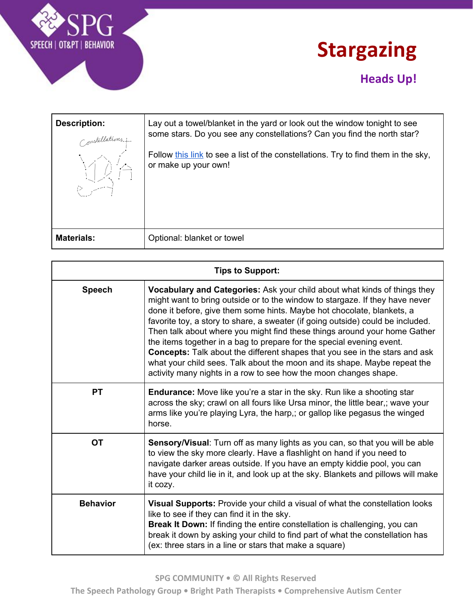



### **Heads Up!**

| Description:<br>Constellations.j.<br>道治 | Lay out a towel/blanket in the yard or look out the window tonight to see<br>some stars. Do you see any constellations? Can you find the north star?<br>Follow this link to see a list of the constellations. Try to find them in the sky,<br>or make up your own! |
|-----------------------------------------|--------------------------------------------------------------------------------------------------------------------------------------------------------------------------------------------------------------------------------------------------------------------|
| <b>Materials:</b>                       | Optional: blanket or towel                                                                                                                                                                                                                                         |

| <b>Tips to Support:</b> |                                                                                                                                                                                                                                                                                                                                                                                                                                                                                                                                                                                                                                                                                                                     |
|-------------------------|---------------------------------------------------------------------------------------------------------------------------------------------------------------------------------------------------------------------------------------------------------------------------------------------------------------------------------------------------------------------------------------------------------------------------------------------------------------------------------------------------------------------------------------------------------------------------------------------------------------------------------------------------------------------------------------------------------------------|
| <b>Speech</b>           | <b>Vocabulary and Categories:</b> Ask your child about what kinds of things they<br>might want to bring outside or to the window to stargaze. If they have never<br>done it before, give them some hints. Maybe hot chocolate, blankets, a<br>favorite toy, a story to share, a sweater (if going outside) could be included.<br>Then talk about where you might find these things around your home Gather<br>the items together in a bag to prepare for the special evening event.<br>Concepts: Talk about the different shapes that you see in the stars and ask<br>what your child sees. Talk about the moon and its shape. Maybe repeat the<br>activity many nights in a row to see how the moon changes shape. |
| <b>PT</b>               | <b>Endurance:</b> Move like you're a star in the sky. Run like a shooting star<br>across the sky; crawl on all fours like Ursa minor, the little bear,; wave your<br>arms like you're playing Lyra, the harp,; or gallop like pegasus the winged<br>horse.                                                                                                                                                                                                                                                                                                                                                                                                                                                          |
| <b>OT</b>               | Sensory/Visual: Turn off as many lights as you can, so that you will be able<br>to view the sky more clearly. Have a flashlight on hand if you need to<br>navigate darker areas outside. If you have an empty kiddie pool, you can<br>have your child lie in it, and look up at the sky. Blankets and pillows will make<br>it cozy.                                                                                                                                                                                                                                                                                                                                                                                 |
| <b>Behavior</b>         | Visual Supports: Provide your child a visual of what the constellation looks<br>like to see if they can find it in the sky.<br>Break It Down: If finding the entire constellation is challenging, you can<br>break it down by asking your child to find part of what the constellation has<br>(ex: three stars in a line or stars that make a square)                                                                                                                                                                                                                                                                                                                                                               |